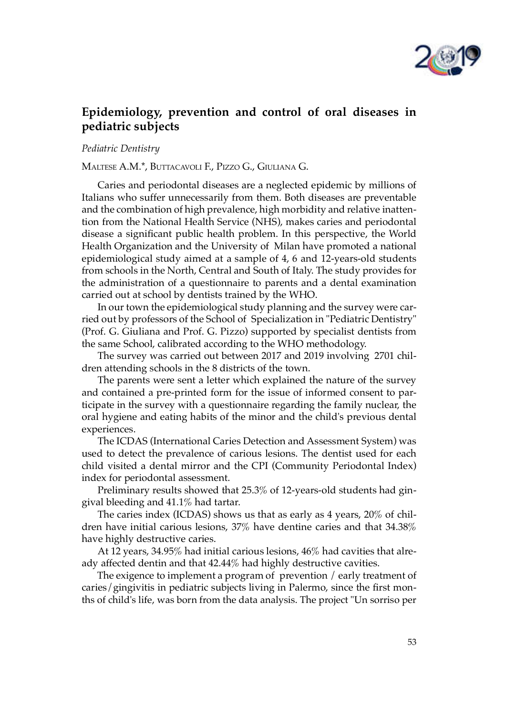

## Epidemiology, prevention and control of oral diseases in pediatric subjects

Pediatric Dentistry

Maltese a.M.\*, ButtaCaVoli F., Pizzo G., Giuliana G.

Caries and periodontal diseases are a neglected epidemic by millions of Italians who suffer unnecessarily from them. Both diseases are preventable and the combination of high prevalence, high morbidity and relative inattention from the National Health Service (NHS), makes caries and periodontal disease a significant public health problem. In this perspective, the World Health Organization and the University of Milan have promoted a national epidemiological study aimed at a sample of 4, 6 and 12-years-old students from schools in the North, Central and South of Italy. The study provides for the administration of a questionnaire to parents and a dental examination carried out at school by dentists trained by the WHO.

In our town the epidemiological study planning and the survey were carried out by professors of the School of Specialization in "Pediatric Dentistry" (Prof. G. Giuliana and Prof. G. Pizzo) supported by specialist dentists from the same School, calibrated according to the WHO methodology.

The survey was carried out between 2017 and 2019 involving 2701 children attending schools in the 8 districts of the town.

The parents were sent a letter which explained the nature of the survey and contained a pre-printed form for the issue of informed consent to participate in the survey with a questionnaire regarding the family nuclear, the oral hygiene and eating habits of the minor and the child's previous dental experiences.

The ICDAS (International Caries Detection and Assessment System) was used to detect the prevalence of carious lesions. The dentist used for each child visited a dental mirror and the CPI (Community Periodontal Index) index for periodontal assessment.

Preliminary results showed that 25.3% of 12-years-old students had gingival bleeding and 41.1% had tartar.

The caries index (ICDAS) shows us that as early as 4 years, 20% of children have initial carious lesions, 37% have dentine caries and that 34.38% have highly destructive caries.

At 12 years, 34.95% had initial carious lesions, 46% had cavities that already affected dentin and that 42.44% had highly destructive cavities.

The exigence to implement a program of prevention  $/$  early treatment of caries/gingivitis in pediatric subjects living in Palermo, since the first months of child's life, was born from the data analysis. The project "Un sorriso per